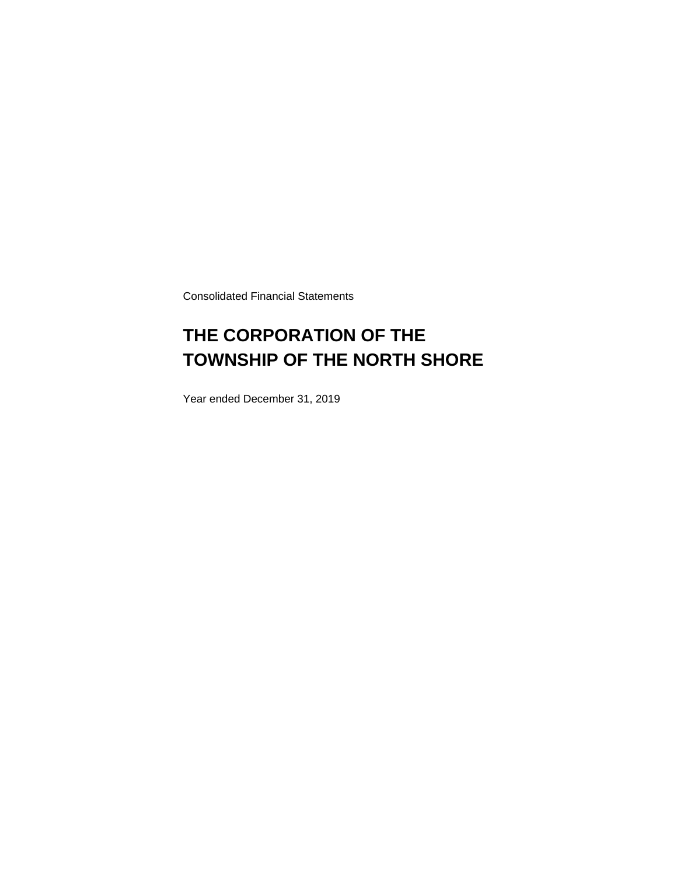Consolidated Financial Statements

### **THE CORPORATION OF THE TOWNSHIP OF THE NORTH SHORE**

Year ended December 31, 2019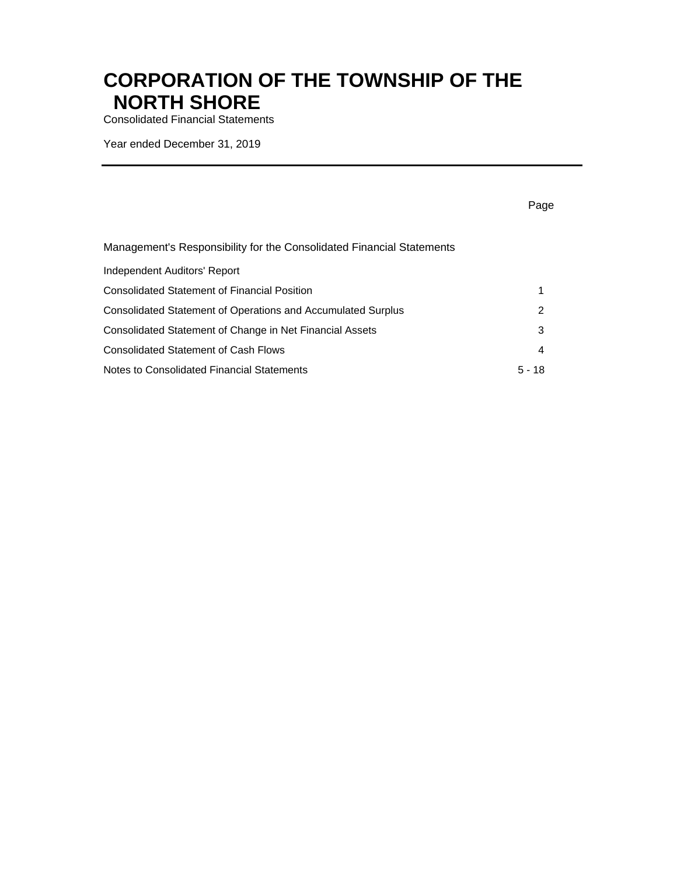Consolidated Financial Statements

Year ended December 31, 2019

|                                                                       | Page     |
|-----------------------------------------------------------------------|----------|
| Management's Responsibility for the Consolidated Financial Statements |          |
| Independent Auditors' Report                                          |          |
| Consolidated Statement of Financial Position                          | 1        |
| Consolidated Statement of Operations and Accumulated Surplus          | 2        |
| Consolidated Statement of Change in Net Financial Assets              | 3        |
| <b>Consolidated Statement of Cash Flows</b>                           | 4        |
| Notes to Consolidated Financial Statements                            | $5 - 18$ |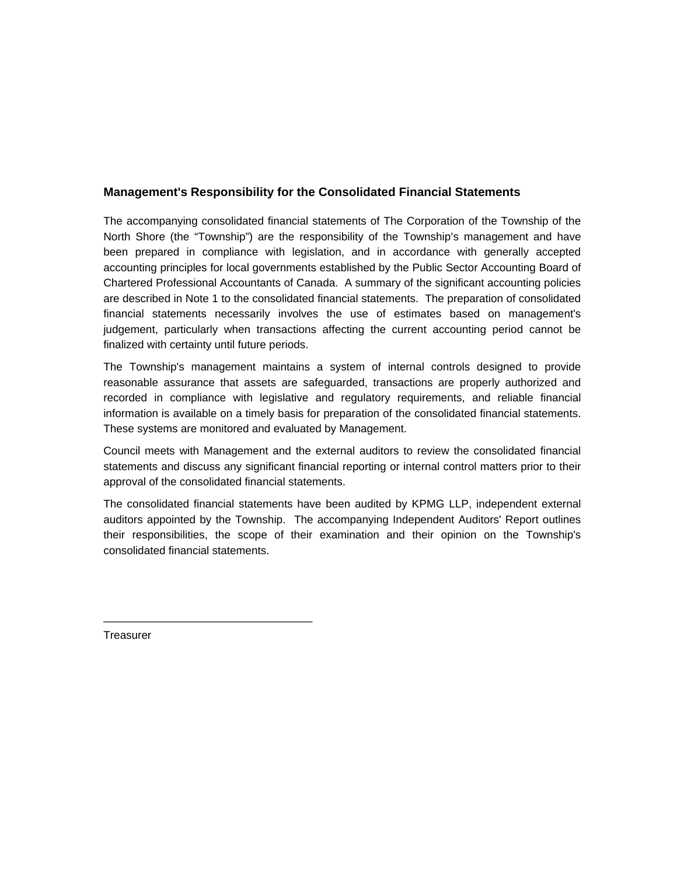### **Management's Responsibility for the Consolidated Financial Statements**

The accompanying consolidated financial statements of The Corporation of the Township of the North Shore (the "Township") are the responsibility of the Township's management and have been prepared in compliance with legislation, and in accordance with generally accepted accounting principles for local governments established by the Public Sector Accounting Board of Chartered Professional Accountants of Canada. A summary of the significant accounting policies are described in Note 1 to the consolidated financial statements. The preparation of consolidated financial statements necessarily involves the use of estimates based on management's judgement, particularly when transactions affecting the current accounting period cannot be finalized with certainty until future periods.

information is available on a timely basis for preparation of the consolidated financial statements.<br>These systems are monitored and evaluated by Management. The Township's management maintains a system of internal controls designed to provide reasonable assurance that assets are safeguarded, transactions are properly authorized and recorded in compliance with legislative and regulatory requirements, and reliable financial

Council meets with Management and the external auditors to review the consolidated financial statements and discuss any significant financial reporting or internal control matters prior to their approval of the consolidated financial statements.

The consolidated financial statements have been audited by KPMG LLP, independent external auditors appointed by the Township. The accompanying Independent Auditors' Report outlines their responsibilities, the scope of their examination and their opinion on the Township's consolidated financial statements.

**Treasurer** 

\_\_\_\_\_\_\_\_\_\_\_\_\_\_\_\_\_\_\_\_\_\_\_\_\_\_\_\_\_\_\_\_\_\_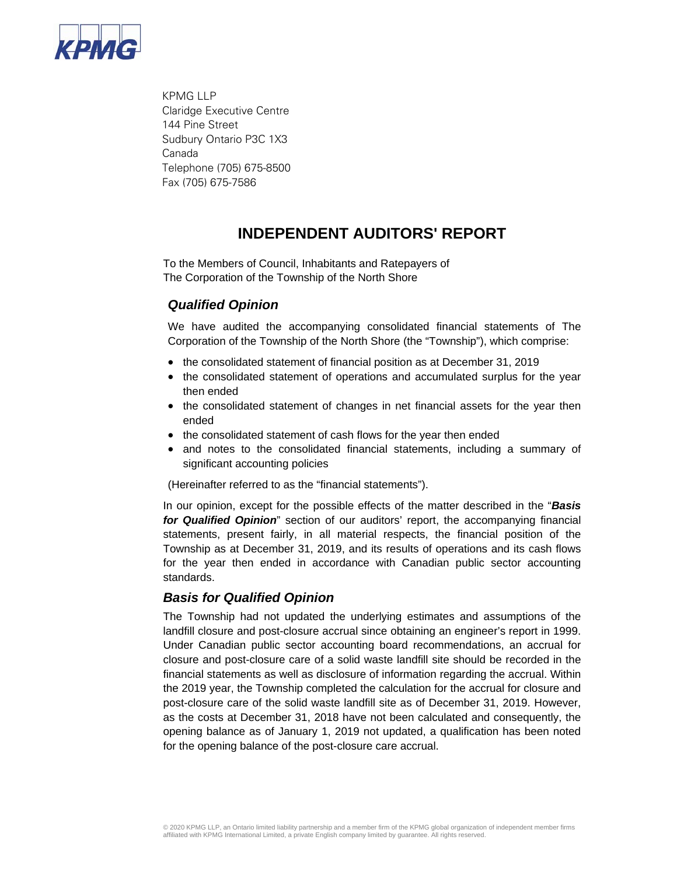

 KPMG LLP Claridge Executive Centre 144 Pine Street Sudbury Ontario P3C 1X3 Canada Telephone (705) 675-8500 Fax (705) 675-7586

### **INDEPENDENT AUDITORS' REPORT**

To the Members of Council, Inhabitants and Ratepayers of The Corporation of the Township of the North Shore

### *Qualified Opinion*

We have audited the accompanying consolidated financial statements of The Corporation of the Township of the North Shore (the "Township"), which comprise:

- the consolidated statement of financial position as at December 31, 2019
- the consolidated statement of operations and accumulated surplus for the year then ended
- the consolidated statement of changes in net financial assets for the year then ended
- the consolidated statement of cash flows for the year then ended
- and notes to the consolidated financial statements, including a summary of significant accounting policies

(Hereinafter referred to as the "financial statements").

In our opinion, except for the possible effects of the matter described in the "*Basis for Qualified Opinion*" section of our auditors' report, the accompanying financial statements, present fairly, in all material respects, the financial position of the Township as at December 31, 2019, and its results of operations and its cash flows for the year then ended in accordance with Canadian public sector accounting standards.

### *Basis for Qualified Opinion*

The Township had not updated the underlying estimates and assumptions of the landfill closure and post-closure accrual since obtaining an engineer's report in 1999. Under Canadian public sector accounting board recommendations, an accrual for closure and post-closure care of a solid waste landfill site should be recorded in the financial statements as well as disclosure of information regarding the accrual. Within the 2019 year, the Township completed the calculation for the accrual for closure and post-closure care of the solid waste landfill site as of December 31, 2019. However, as the costs at December 31, 2018 have not been calculated and consequently, the opening balance as of January 1, 2019 not updated, a qualification has been noted for the opening balance of the post-closure care accrual.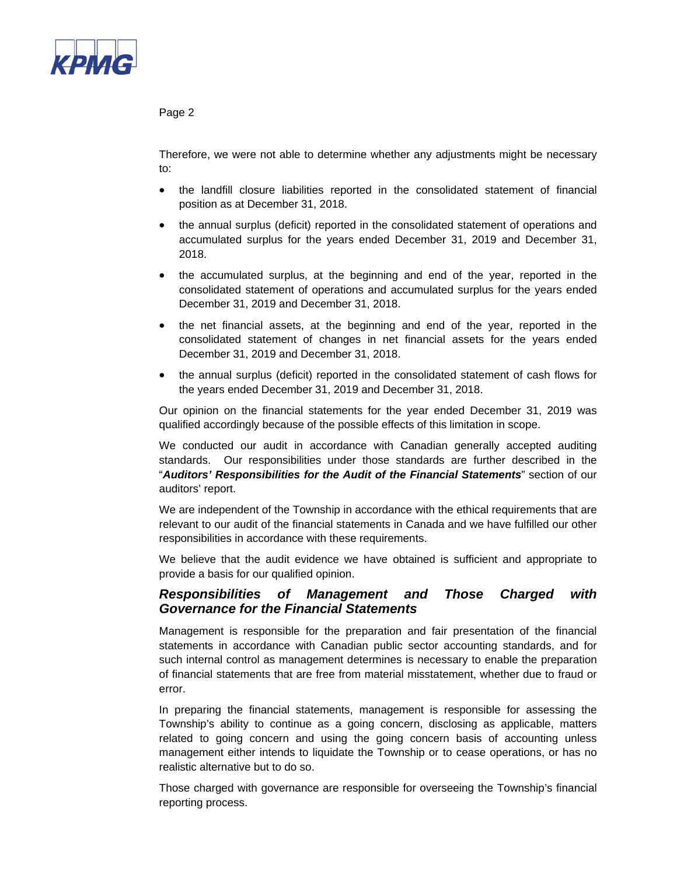

#### Page 2

Therefore, we were not able to determine whether any adjustments might be necessary to:

- the landfill closure liabilities reported in the consolidated statement of financial position as at December 31, 2018.
- the annual surplus (deficit) reported in the consolidated statement of operations and accumulated surplus for the years ended December 31, 2019 and December 31, 2018.
- the accumulated surplus, at the beginning and end of the year, reported in the consolidated statement of operations and accumulated surplus for the years ended December 31, 2019 and December 31, 2018.
- the net financial assets, at the beginning and end of the year, reported in the consolidated statement of changes in net financial assets for the years ended December 31, 2019 and December 31, 2018.
- the annual surplus (deficit) reported in the consolidated statement of cash flows for the years ended December 31, 2019 and December 31, 2018.

Our opinion on the financial statements for the year ended December 31, 2019 was qualified accordingly because of the possible effects of this limitation in scope.

We conducted our audit in accordance with Canadian generally accepted auditing standards. Our responsibilities under those standards are further described in the "*Auditors' Responsibilities for the Audit of the Financial Statements*" section of our auditors' report.

We are independent of the Township in accordance with the ethical requirements that are relevant to our audit of the financial statements in Canada and we have fulfilled our other responsibilities in accordance with these requirements.

We believe that the audit evidence we have obtained is sufficient and appropriate to provide a basis for our qualified opinion.

### *Responsibilities of Management and Those Charged with Governance for the Financial Statements*

Management is responsible for the preparation and fair presentation of the financial statements in accordance with Canadian public sector accounting standards, and for such internal control as management determines is necessary to enable the preparation of financial statements that are free from material misstatement, whether due to fraud or error.

In preparing the financial statements, management is responsible for assessing the Township's ability to continue as a going concern, disclosing as applicable, matters related to going concern and using the going concern basis of accounting unless management either intends to liquidate the Township or to cease operations, or has no realistic alternative but to do so.

Those charged with governance are responsible for overseeing the Township's financial reporting process.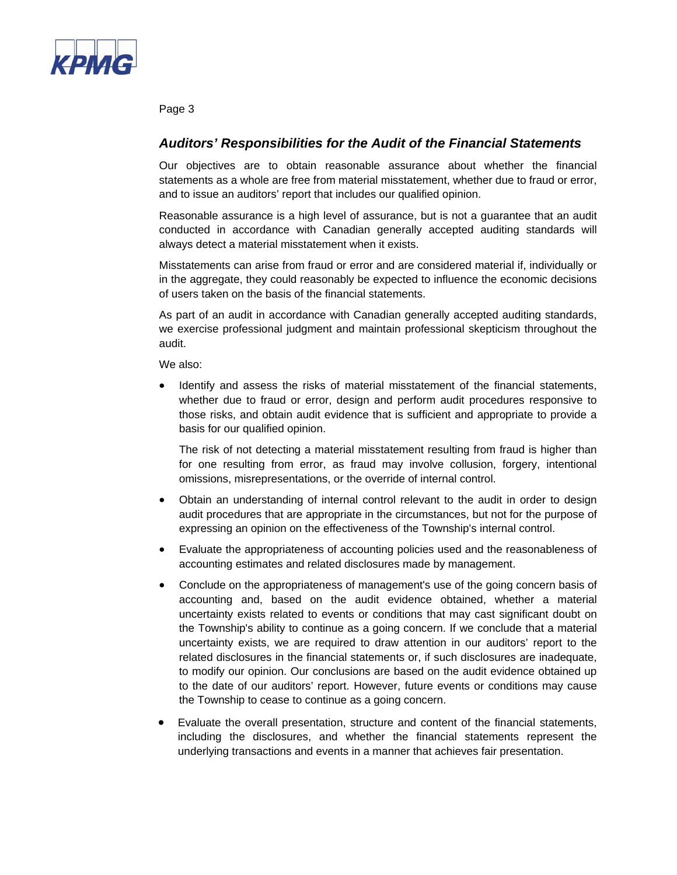

Page 3

### *Auditors' Responsibilities for the Audit of the Financial Statements*

Our objectives are to obtain reasonable assurance about whether the financial statements as a whole are free from material misstatement, whether due to fraud or error, and to issue an auditors' report that includes our qualified opinion.

Reasonable assurance is a high level of assurance, but is not a guarantee that an audit conducted in accordance with Canadian generally accepted auditing standards will always detect a material misstatement when it exists.

Misstatements can arise from fraud or error and are considered material if, individually or in the aggregate, they could reasonably be expected to influence the economic decisions of users taken on the basis of the financial statements.

As part of an audit in accordance with Canadian generally accepted auditing standards, we exercise professional judgment and maintain professional skepticism throughout the audit.

We also:

 Identify and assess the risks of material misstatement of the financial statements, whether due to fraud or error, design and perform audit procedures responsive to those risks, and obtain audit evidence that is sufficient and appropriate to provide a basis for our qualified opinion.

The risk of not detecting a material misstatement resulting from fraud is higher than for one resulting from error, as fraud may involve collusion, forgery, intentional omissions, misrepresentations, or the override of internal control.

- Obtain an understanding of internal control relevant to the audit in order to design audit procedures that are appropriate in the circumstances, but not for the purpose of expressing an opinion on the effectiveness of the Township's internal control.
- Evaluate the appropriateness of accounting policies used and the reasonableness of accounting estimates and related disclosures made by management.
- Conclude on the appropriateness of management's use of the going concern basis of accounting and, based on the audit evidence obtained, whether a material uncertainty exists related to events or conditions that may cast significant doubt on the Township's ability to continue as a going concern. If we conclude that a material uncertainty exists, we are required to draw attention in our auditors' report to the related disclosures in the financial statements or, if such disclosures are inadequate, to modify our opinion. Our conclusions are based on the audit evidence obtained up to the date of our auditors' report. However, future events or conditions may cause the Township to cease to continue as a going concern.
- Evaluate the overall presentation, structure and content of the financial statements, including the disclosures, and whether the financial statements represent the underlying transactions and events in a manner that achieves fair presentation.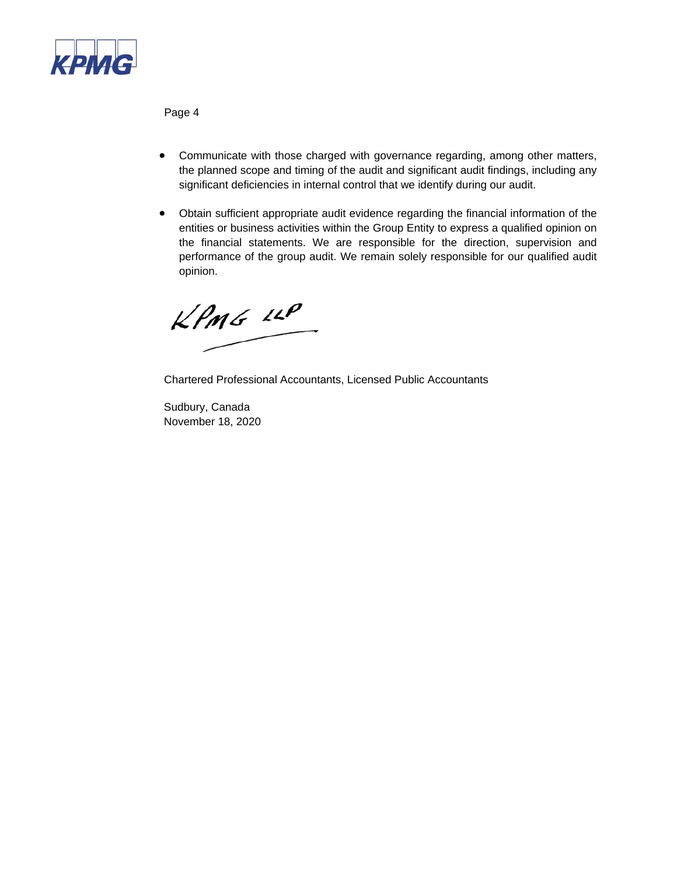

Page 4

- Communicate with those charged with governance regarding, among other matters, the planned scope and timing of the audit and significant audit findings, including any significant deficiencies in internal control that we identify during our audit.
- Obtain sufficient appropriate audit evidence regarding the financial information of the entities or business activities within the Group Entity to express a qualified opinion on the financial statements. We are responsible for the direction, supervision and performance of the group audit. We remain solely responsible for our qualified audit opinion.

 $KPMG$  14P

Chartered Professional Accountants, Licensed Public Accountants

Sudbury, Canada November 18, 2020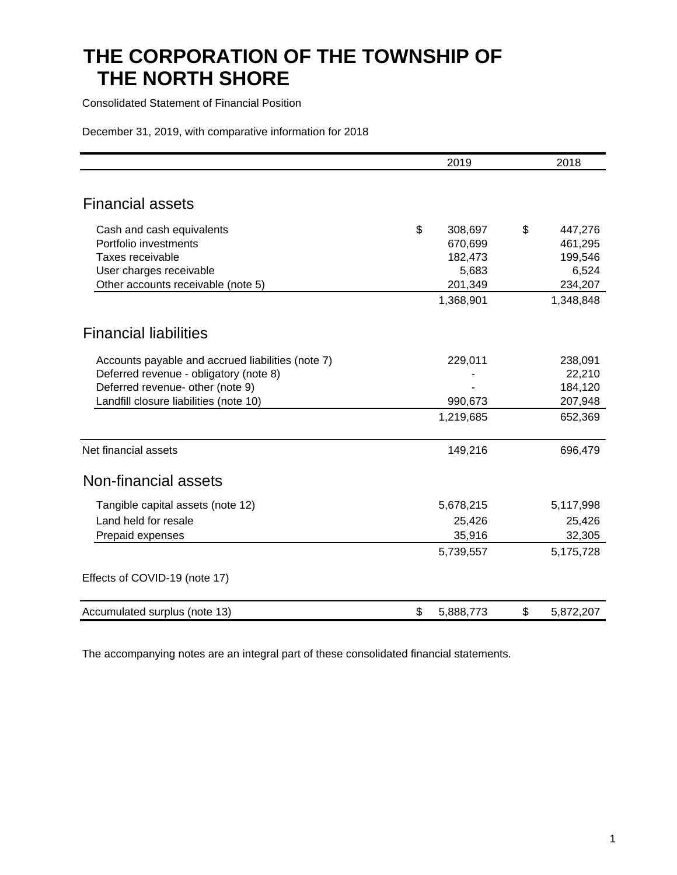Consolidated Statement of Financial Position

December 31, 2019, with comparative information for 2018

|                                                   | 2019            | 2018            |
|---------------------------------------------------|-----------------|-----------------|
|                                                   |                 |                 |
| <b>Financial assets</b>                           |                 |                 |
| Cash and cash equivalents                         | \$<br>308,697   | \$<br>447,276   |
| Portfolio investments                             | 670,699         | 461,295         |
| Taxes receivable                                  | 182,473         | 199,546         |
| User charges receivable                           | 5,683           | 6,524           |
| Other accounts receivable (note 5)                | 201,349         | 234,207         |
|                                                   | 1,368,901       | 1,348,848       |
| <b>Financial liabilities</b>                      |                 |                 |
| Accounts payable and accrued liabilities (note 7) | 229,011         | 238,091         |
| Deferred revenue - obligatory (note 8)            |                 | 22,210          |
| Deferred revenue- other (note 9)                  |                 | 184,120         |
| Landfill closure liabilities (note 10)            | 990,673         | 207,948         |
|                                                   | 1,219,685       | 652,369         |
| Net financial assets                              | 149,216         | 696,479         |
| Non-financial assets                              |                 |                 |
| Tangible capital assets (note 12)                 | 5,678,215       | 5,117,998       |
| Land held for resale                              | 25,426          | 25,426          |
| Prepaid expenses                                  | 35,916          | 32,305          |
|                                                   | 5,739,557       | 5,175,728       |
| Effects of COVID-19 (note 17)                     |                 |                 |
| Accumulated surplus (note 13)                     | \$<br>5,888,773 | \$<br>5,872,207 |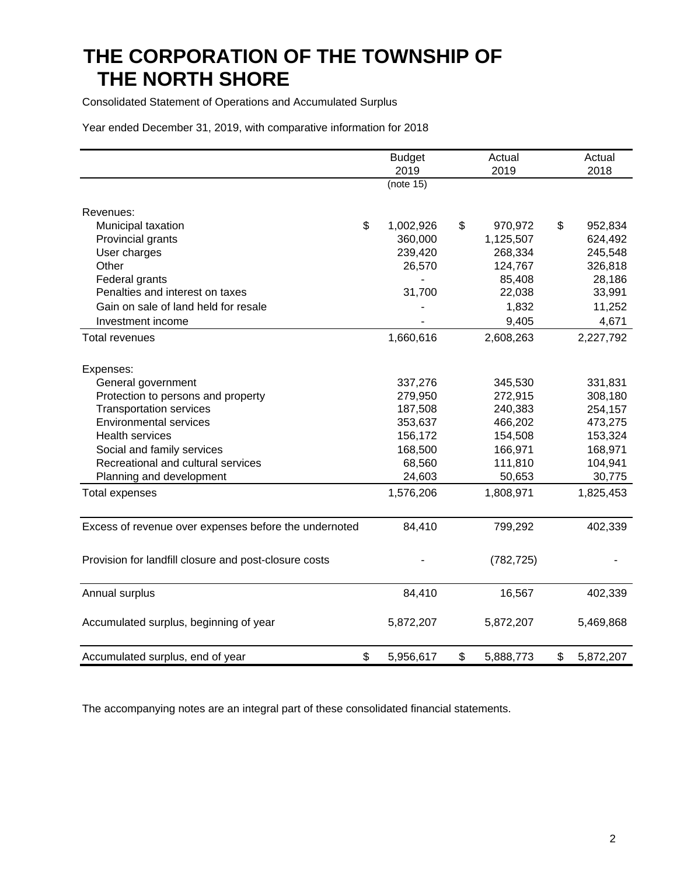Consolidated Statement of Operations and Accumulated Surplus

Year ended December 31, 2019, with comparative information for 2018

|                                                       | <b>Budget</b> | Actual          | Actual          |
|-------------------------------------------------------|---------------|-----------------|-----------------|
|                                                       | 2019          | 2019            | 2018            |
|                                                       | (note 15)     |                 |                 |
| Revenues:                                             |               |                 |                 |
| \$<br>Municipal taxation                              | 1,002,926     | \$<br>970,972   | \$<br>952,834   |
| Provincial grants                                     | 360,000       | 1,125,507       | 624,492         |
| User charges                                          | 239,420       | 268,334         | 245,548         |
| Other                                                 | 26,570        | 124,767         | 326,818         |
| Federal grants                                        |               | 85,408          | 28,186          |
| Penalties and interest on taxes                       | 31,700        | 22,038          | 33,991          |
| Gain on sale of land held for resale                  |               | 1,832           | 11,252          |
| Investment income                                     |               | 9,405           | 4,671           |
| Total revenues                                        | 1,660,616     | 2,608,263       | 2,227,792       |
|                                                       |               |                 |                 |
| Expenses:                                             |               |                 |                 |
| General government                                    | 337,276       | 345,530         | 331,831         |
| Protection to persons and property                    | 279,950       | 272,915         | 308,180         |
| <b>Transportation services</b>                        | 187,508       | 240,383         | 254,157         |
| <b>Environmental services</b>                         | 353,637       | 466,202         | 473,275         |
| <b>Health services</b>                                | 156,172       | 154,508         | 153,324         |
| Social and family services                            | 168,500       | 166,971         | 168,971         |
| Recreational and cultural services                    | 68,560        | 111,810         | 104,941         |
| Planning and development                              | 24,603        | 50,653          | 30,775          |
| <b>Total expenses</b>                                 | 1,576,206     | 1,808,971       | 1,825,453       |
| Excess of revenue over expenses before the undernoted | 84,410        | 799,292         | 402,339         |
| Provision for landfill closure and post-closure costs |               | (782, 725)      |                 |
|                                                       |               |                 |                 |
| Annual surplus                                        | 84,410        | 16,567          | 402,339         |
| Accumulated surplus, beginning of year                | 5,872,207     | 5,872,207       | 5,469,868       |
| \$<br>Accumulated surplus, end of year                | 5,956,617     | \$<br>5,888,773 | \$<br>5,872,207 |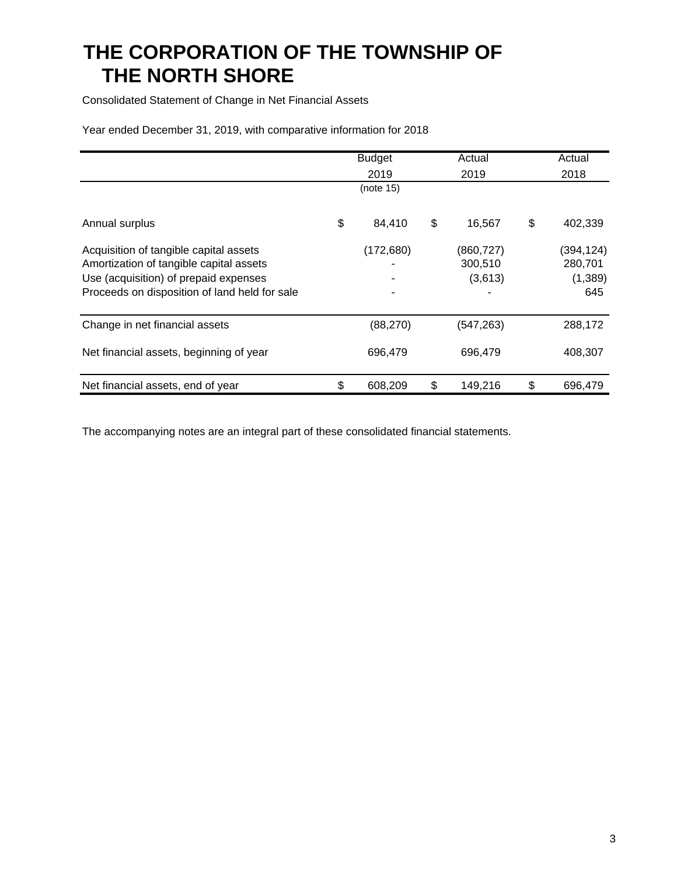Consolidated Statement of Change in Net Financial Assets

Year ended December 31, 2019, with comparative information for 2018

|                                                                                                                                                                             | <b>Budget</b> | Actual                           | Actual                                   |
|-----------------------------------------------------------------------------------------------------------------------------------------------------------------------------|---------------|----------------------------------|------------------------------------------|
|                                                                                                                                                                             | 2019          | 2019                             | 2018                                     |
|                                                                                                                                                                             | (note 15)     |                                  |                                          |
| Annual surplus                                                                                                                                                              | \$<br>84,410  | \$<br>16,567                     | \$<br>402,339                            |
| Acquisition of tangible capital assets<br>Amortization of tangible capital assets<br>Use (acquisition) of prepaid expenses<br>Proceeds on disposition of land held for sale | (172, 680)    | (860, 727)<br>300,510<br>(3,613) | (394, 124)<br>280,701<br>(1, 389)<br>645 |
| Change in net financial assets                                                                                                                                              | (88, 270)     | (547, 263)                       | 288,172                                  |
| Net financial assets, beginning of year                                                                                                                                     | 696,479       | 696,479                          | 408,307                                  |
| Net financial assets, end of year                                                                                                                                           | \$<br>608,209 | \$<br>149,216                    | \$<br>696,479                            |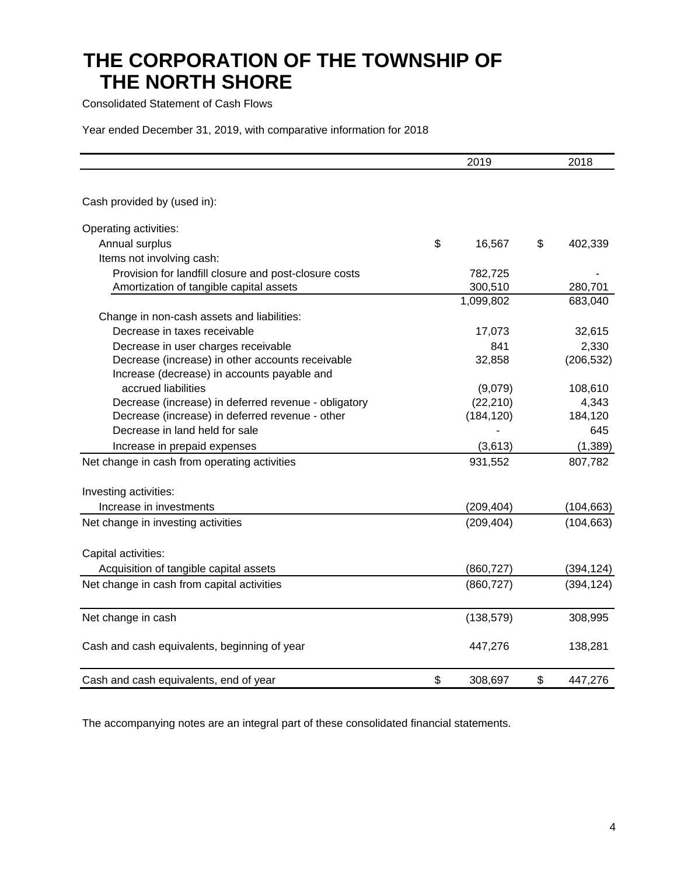Consolidated Statement of Cash Flows

Year ended December 31, 2019, with comparative information for 2018

|                                                       | 2019          | 2018          |
|-------------------------------------------------------|---------------|---------------|
| Cash provided by (used in):                           |               |               |
| Operating activities:                                 |               |               |
| Annual surplus                                        | \$<br>16,567  | \$<br>402,339 |
| Items not involving cash:                             |               |               |
| Provision for landfill closure and post-closure costs | 782,725       |               |
| Amortization of tangible capital assets               | 300,510       | 280,701       |
|                                                       | 1,099,802     | 683,040       |
| Change in non-cash assets and liabilities:            |               |               |
| Decrease in taxes receivable                          | 17,073        | 32,615        |
| Decrease in user charges receivable                   | 841           | 2,330         |
| Decrease (increase) in other accounts receivable      | 32,858        | (206, 532)    |
| Increase (decrease) in accounts payable and           |               |               |
| accrued liabilities                                   | (9,079)       | 108,610       |
| Decrease (increase) in deferred revenue - obligatory  | (22, 210)     | 4,343         |
| Decrease (increase) in deferred revenue - other       | (184, 120)    | 184,120       |
| Decrease in land held for sale                        |               | 645           |
| Increase in prepaid expenses                          | (3,613)       | (1, 389)      |
| Net change in cash from operating activities          | 931,552       | 807,782       |
| Investing activities:                                 |               |               |
| Increase in investments                               | (209, 404)    | (104, 663)    |
| Net change in investing activities                    | (209, 404)    | (104, 663)    |
| Capital activities:                                   |               |               |
| Acquisition of tangible capital assets                | (860, 727)    | (394, 124)    |
| Net change in cash from capital activities            | (860, 727)    | (394, 124)    |
| Net change in cash                                    | (138, 579)    | 308,995       |
| Cash and cash equivalents, beginning of year          | 447,276       | 138,281       |
| Cash and cash equivalents, end of year                | \$<br>308,697 | \$<br>447,276 |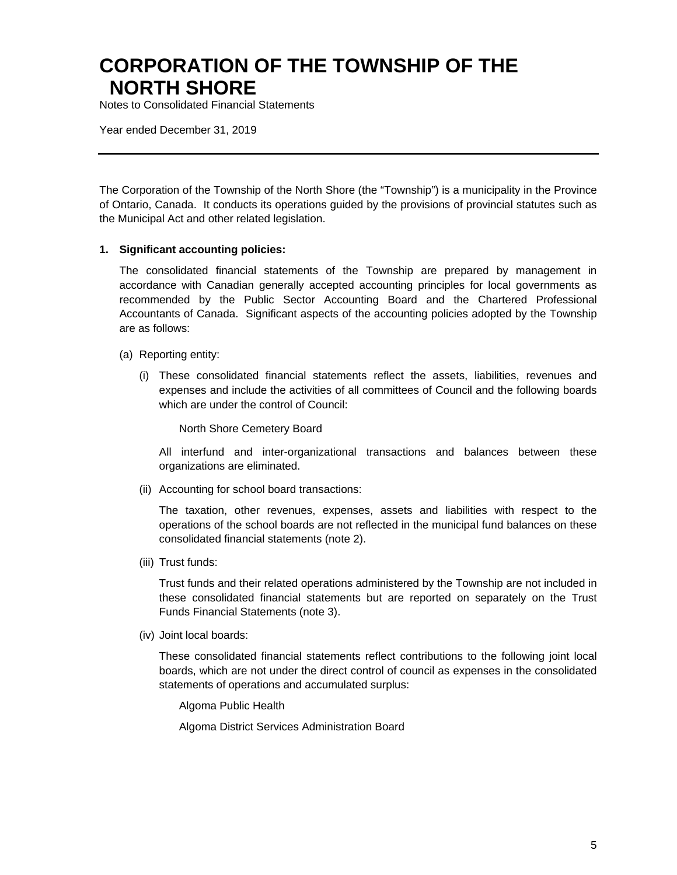Notes to Consolidated Financial Statements

Year ended December 31, 2019

The Corporation of the Township of the North Shore (the "Township") is a municipality in the Province of Ontario, Canada. It conducts its operations guided by the provisions of provincial statutes such as the Municipal Act and other related legislation.

#### **1. Significant accounting policies:**

The consolidated financial statements of the Township are prepared by management in accordance with Canadian generally accepted accounting principles for local governments as recommended by the Public Sector Accounting Board and the Chartered Professional Accountants of Canada. Significant aspects of the accounting policies adopted by the Township are as follows:

- (a) Reporting entity:
	- (i) These consolidated financial statements reflect the assets, liabilities, revenues and expenses and include the activities of all committees of Council and the following boards which are under the control of Council:

North Shore Cemetery Board

All interfund and inter-organizational transactions and balances between these organizations are eliminated.

(ii) Accounting for school board transactions:

The taxation, other revenues, expenses, assets and liabilities with respect to the operations of the school boards are not reflected in the municipal fund balances on these consolidated financial statements (note 2).

(iii) Trust funds:

Trust funds and their related operations administered by the Township are not included in these consolidated financial statements but are reported on separately on the Trust Funds Financial Statements (note 3).

(iv) Joint local boards:

These consolidated financial statements reflect contributions to the following joint local boards, which are not under the direct control of council as expenses in the consolidated statements of operations and accumulated surplus:

Algoma Public Health

Algoma District Services Administration Board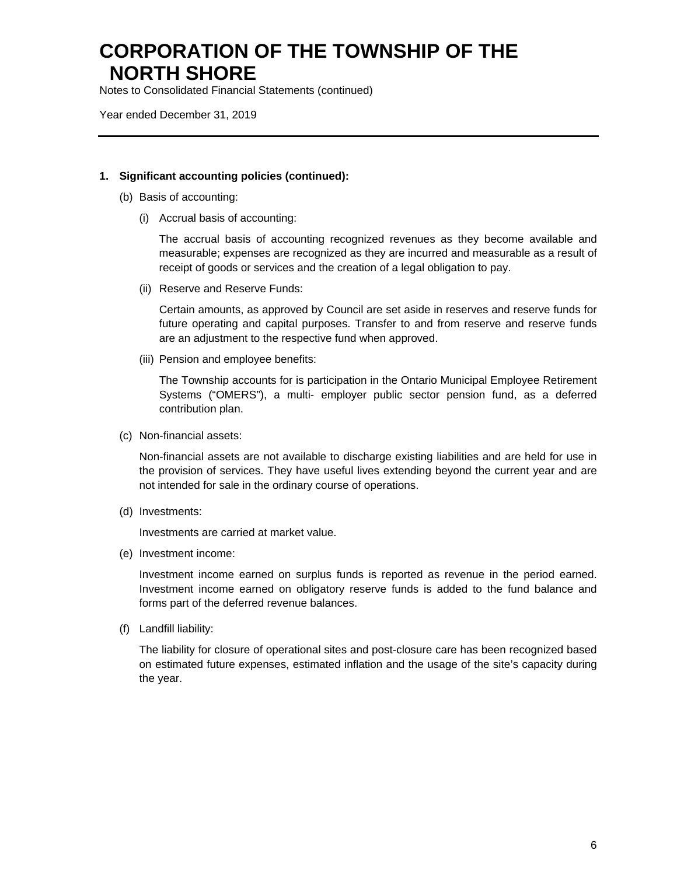Notes to Consolidated Financial Statements (continued)

Year ended December 31, 2019

#### **1. Significant accounting policies (continued):**

- (b) Basis of accounting:
	- (i) Accrual basis of accounting:

The accrual basis of accounting recognized revenues as they become available and measurable; expenses are recognized as they are incurred and measurable as a result of receipt of goods or services and the creation of a legal obligation to pay.

(ii) Reserve and Reserve Funds:

Certain amounts, as approved by Council are set aside in reserves and reserve funds for future operating and capital purposes. Transfer to and from reserve and reserve funds are an adjustment to the respective fund when approved.

(iii) Pension and employee benefits:

The Township accounts for is participation in the Ontario Municipal Employee Retirement Systems ("OMERS"), a multi- employer public sector pension fund, as a deferred contribution plan.

(c) Non-financial assets:

Non-financial assets are not available to discharge existing liabilities and are held for use in the provision of services. They have useful lives extending beyond the current year and are not intended for sale in the ordinary course of operations.

(d) Investments:

Investments are carried at market value. (e) Investment income:

(e) Investment income:

Investment income earned on surplus funds is reported as revenue in the period earned. Investment income earned on obligatory reserve funds is added to the fund balance and forms part of the deferred revenue balances.

(f) Landfill liability:

The liability for closure of operational sites and post-closure care has been recognized based on estimated future expenses, estimated inflation and the usage of the site's capacity during the year.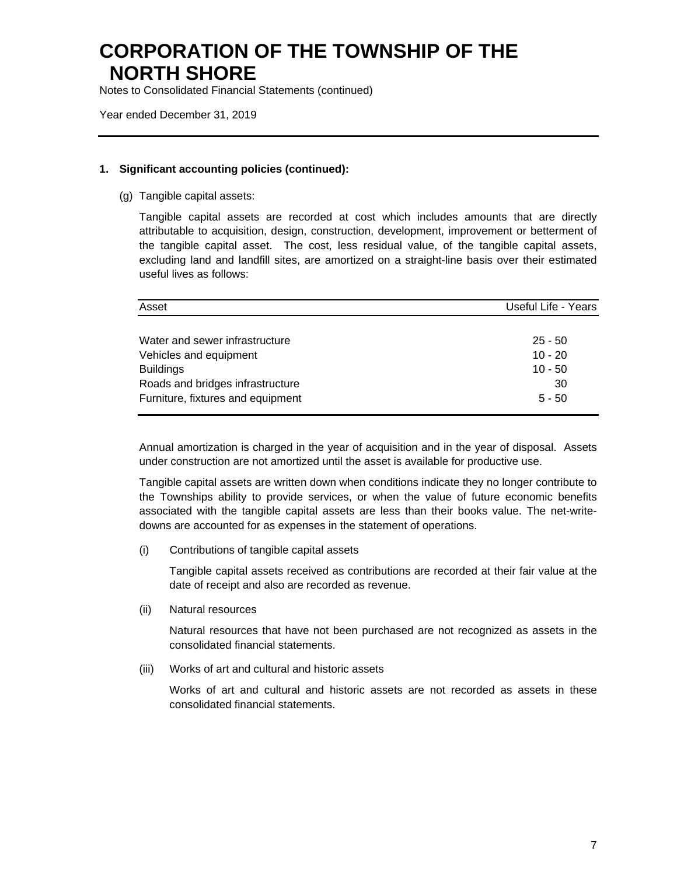Notes to Consolidated Financial Statements (continued)

Year ended December 31, 2019

#### **1. Significant accounting policies (continued):**

(g) Tangible capital assets:

Tangible capital assets are recorded at cost which includes amounts that are directly attributable to acquisition, design, construction, development, improvement or betterment of the tangible capital asset. The cost, less residual value, of the tangible capital assets, excluding land and landfill sites, are amortized on a straight-line basis over their estimated useful lives as follows:

| Asset                             | Useful Life - Years |
|-----------------------------------|---------------------|
|                                   |                     |
| Water and sewer infrastructure    | $25 - 50$           |
| Vehicles and equipment            | $10 - 20$           |
| <b>Buildings</b>                  | $10 - 50$           |
| Roads and bridges infrastructure  | 30                  |
| Furniture, fixtures and equipment | $5 - 50$            |

Annual amortization is charged in the year of acquisition and in the year of disposal. Assets under construction are not amortized until the asset is available for productive use.

Tangible capital assets are written down when conditions indicate they no longer contribute to the Townships ability to provide services, or when the value of future economic benefits associated with the tangible capital assets are less than their books value. The net-writedowns are accounted for as expenses in the statement of operations.

(i) Contributions of tangible capital assets

Tangible capital assets received as contributions are recorded at their fair value at the date of receipt and also are recorded as revenue.

(ii) Natural resources

Natural resources that have not been purchased are not recognized as assets in the consolidated financial statements.

(iii) Works of art and cultural and historic assets

Works of art and cultural and historic assets are not recorded as assets in these consolidated financial statements.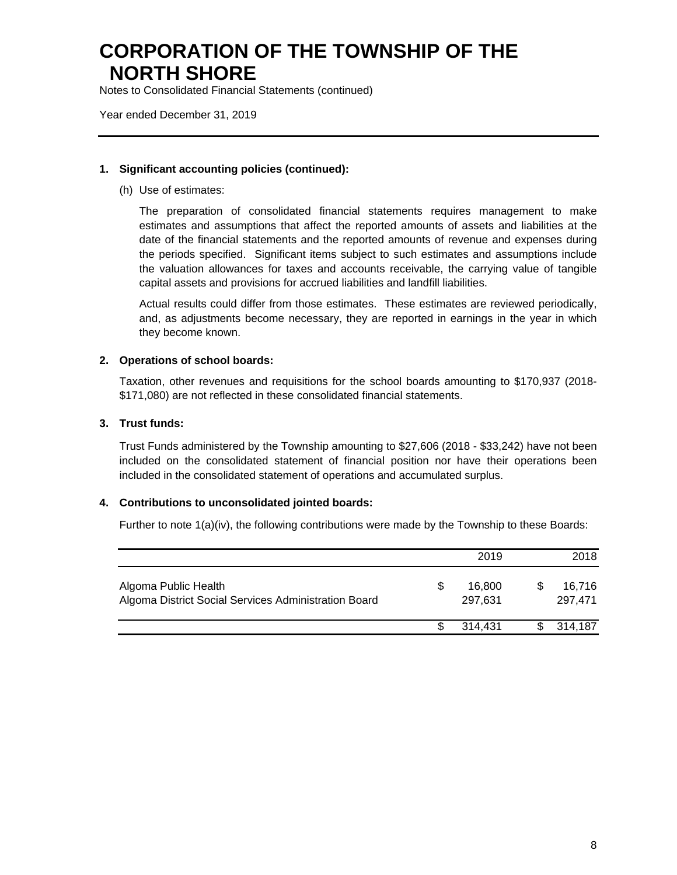Notes to Consolidated Financial Statements (continued)

Year ended December 31, 2019

#### **1. Significant accounting policies (continued):**

(h) Use of estimates:

The preparation of consolidated financial statements requires management to make estimates and assumptions that affect the reported amounts of assets and liabilities at the date of the financial statements and the reported amounts of revenue and expenses during the periods specified. Significant items subject to such estimates and assumptions include the valuation allowances for taxes and accounts receivable, the carrying value of tangible capital assets and provisions for accrued liabilities and landfill liabilities.

Actual results could differ from those estimates. These estimates are reviewed periodically, and, as adjustments become necessary, they are reported in earnings in the year in which they become known.

#### **2. Operations of school boards:**

Taxation, other revenues and requisitions for the school boards amounting to \$170,937 (2018- \$171,080) are not reflected in these consolidated financial statements.

#### **3. Trust funds:**

Trust Funds administered by the Township amounting to \$27,606 (2018 - \$33,242) have not been included on the consolidated statement of financial position nor have their operations been included in the consolidated statement of operations and accumulated surplus.

#### **4. Contributions to unconsolidated jointed boards:**

Further to note 1(a)(iv), the following contributions were made by the Township to these Boards:

|                                                                              | 2019                    | 2018              |
|------------------------------------------------------------------------------|-------------------------|-------------------|
| Algoma Public Health<br>Algoma District Social Services Administration Board | \$<br>16,800<br>297.631 | 16,716<br>297.471 |
|                                                                              | 314.431                 | 314.187           |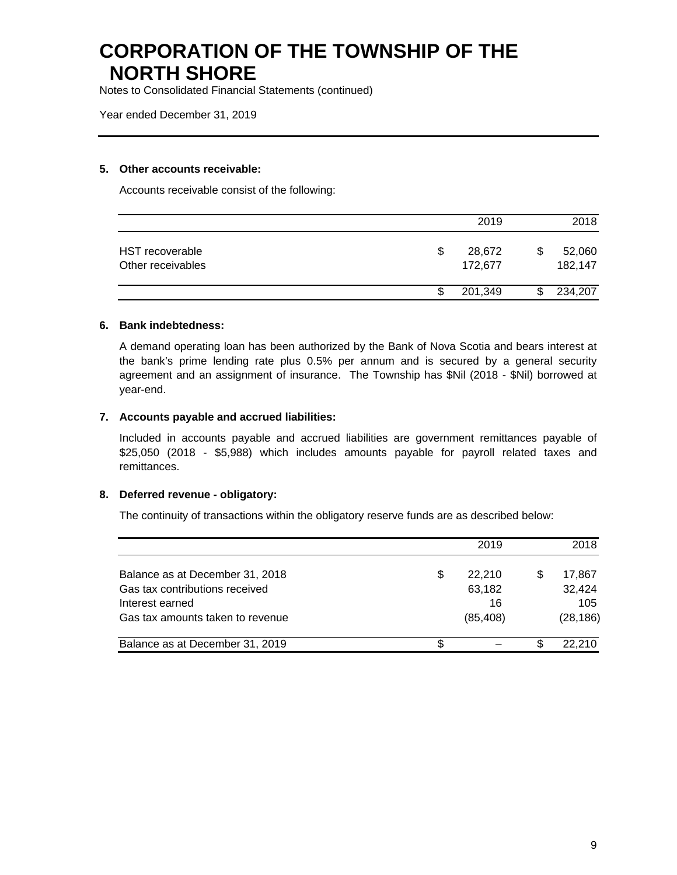Notes to Consolidated Financial Statements (continued)

Year ended December 31, 2019

#### **5. Other accounts receivable:**

Accounts receivable consist of the following:

|                                      | 2019                    | 2018                    |
|--------------------------------------|-------------------------|-------------------------|
| HST recoverable<br>Other receivables | 28,672<br>\$<br>172,677 | 52,060<br>\$<br>182,147 |
|                                      | 201,349                 | 234,207<br>\$           |

#### **6. Bank indebtedness:**

A demand operating loan has been authorized by the Bank of Nova Scotia and bears interest at the bank's prime lending rate plus 0.5% per annum and is secured by a general security agreement and an assignment of insurance. The Township has \$Nil (2018 - \$Nil) borrowed at year-end.

#### **7. Accounts payable and accrued liabilities:**

Included in accounts payable and accrued liabilities are government remittances payable of \$25,050 (2018 - \$5,988) which includes amounts payable for payroll related taxes and remittances.

#### **8. Deferred revenue - obligatory:**

The continuity of transactions within the obligatory reserve funds are as described below:

|                                  |    | 2019      | 2018      |
|----------------------------------|----|-----------|-----------|
| Balance as at December 31, 2018  | S  | 22.210    | 17.867    |
| Gas tax contributions received   |    | 63,182    | 32,424    |
| Interest earned                  |    | 16        | 105       |
| Gas tax amounts taken to revenue |    | (85, 408) | (28, 186) |
| Balance as at December 31, 2019  | S. |           | 22.210    |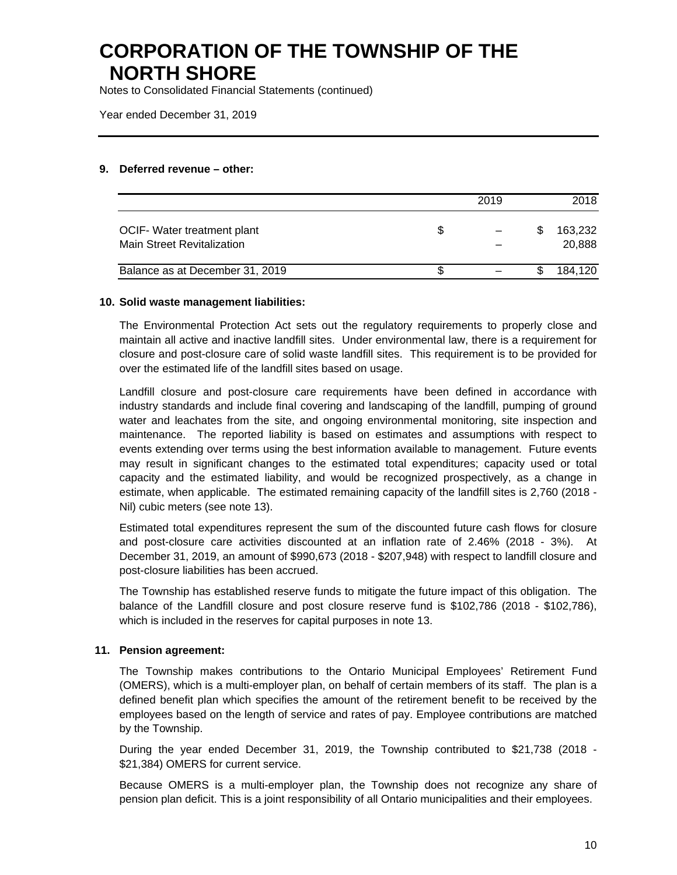Notes to Consolidated Financial Statements (continued)

Year ended December 31, 2019

#### **9. Deferred revenue – other:**

|                                                                  |    | 2019 | 2018                    |
|------------------------------------------------------------------|----|------|-------------------------|
| OCIF- Water treatment plant<br><b>Main Street Revitalization</b> | \$ |      | \$<br>163,232<br>20.888 |
| Balance as at December 31, 2019                                  | S. |      | 184.120                 |

#### **10. Solid waste management liabilities:**

The Environmental Protection Act sets out the regulatory requirements to properly close and maintain all active and inactive landfill sites. Under environmental law, there is a requirement for closure and post-closure care of solid waste landfill sites. This requirement is to be provided for over the estimated life of the landfill sites based on usage.

Landfill closure and post-closure care requirements have been defined in accordance with industry standards and include final covering and landscaping of the landfill, pumping of ground water and leachates from the site, and ongoing environmental monitoring, site inspection and maintenance. The reported liability is based on estimates and assumptions with respect to events extending over terms using the best information available to management. Future events may result in significant changes to the estimated total expenditures; capacity used or total capacity and the estimated liability, and would be recognized prospectively, as a change in estimate, when applicable. The estimated remaining capacity of the landfill sites is 2,760 (2018 - Nil) cubic meters (see note 13).

Estimated total expenditures represent the sum of the discounted future cash flows for closure and post-closure care activities discounted at an inflation rate of 2.46% (2018 - 3%). At December 31, 2019, an amount of \$990,673 (2018 - \$207,948) with respect to landfill closure and post-closure liabilities has been accrued.

The Township has established reserve funds to mitigate the future impact of this obligation. The balance of the Landfill closure and post closure reserve fund is \$102,786 (2018 - \$102,786), which is included in the reserves for capital purposes in note 13.

#### **11. Pension agreement:**

The Township makes contributions to the Ontario Municipal Employees' Retirement Fund (OMERS), which is a multi-employer plan, on behalf of certain members of its staff. The plan is a defined benefit plan which specifies the amount of the retirement benefit to be received by the employees based on the length of service and rates of pay. Employee contributions are matched by the Township.

During the year ended December 31, 2019, the Township contributed to \$21,738 (2018 - \$21,384) OMERS for current service.

Because OMERS is a multi-employer plan, the Township does not recognize any share of pension plan deficit. This is a joint responsibility of all Ontario municipalities and their employees.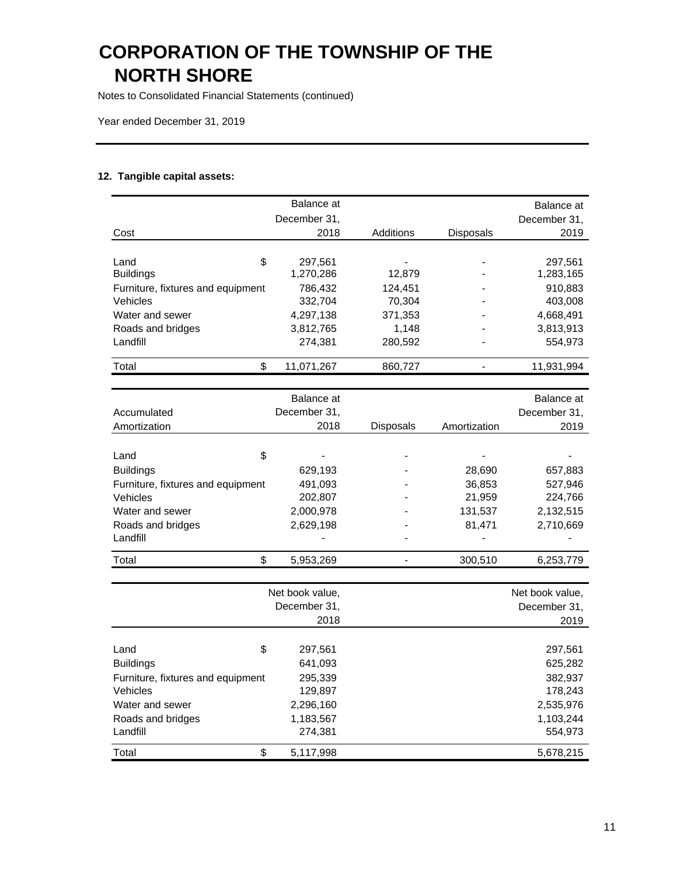Notes to Consolidated Financial Statements (continued)

Landfill 274,381

Year ended December 31, 2019

#### **12. Tangible capital assets:**

|                                               | Balance at      |           |              | Balance at      |
|-----------------------------------------------|-----------------|-----------|--------------|-----------------|
|                                               | December 31,    |           |              | December 31,    |
| Cost                                          | 2018            | Additions | Disposals    | 2019            |
|                                               |                 |           |              |                 |
| \$<br>Land                                    | 297,561         |           |              | 297,561         |
| <b>Buildings</b>                              | 1,270,286       | 12,879    |              | 1,283,165       |
| Furniture, fixtures and equipment             | 786,432         | 124,451   |              | 910,883         |
| Vehicles                                      | 332,704         | 70,304    |              | 403,008         |
| Water and sewer                               | 4,297,138       | 371,353   |              | 4,668,491       |
| Roads and bridges                             | 3,812,765       | 1,148     |              | 3,813,913       |
| Landfill                                      | 274,381         | 280,592   |              | 554,973         |
| \$<br>Total                                   | 11,071,267      | 860,727   | -            | 11,931,994      |
|                                               |                 |           |              |                 |
|                                               | Balance at      |           |              | Balance at      |
| Accumulated                                   | December 31,    |           |              | December 31,    |
| Amortization                                  | 2018            | Disposals | Amortization | 2019            |
|                                               |                 |           |              |                 |
| \$<br>Land                                    |                 |           |              |                 |
| <b>Buildings</b>                              | 629,193         |           | 28,690       | 657,883         |
| Furniture, fixtures and equipment             | 491,093         |           | 36,853       | 527,946         |
| Vehicles                                      | 202,807         |           | 21,959       | 224,766         |
| Water and sewer                               | 2,000,978       |           | 131,537      | 2,132,515       |
| Roads and bridges                             | 2,629,198       |           | 81,471       | 2,710,669       |
| Landfill                                      |                 |           |              |                 |
| \$<br>Total                                   | 5,953,269       |           | 300,510      | 6,253,779       |
|                                               |                 |           |              |                 |
|                                               | Net book value, |           |              | Net book value, |
|                                               | December 31,    |           |              | December 31,    |
|                                               | 2018            |           |              | 2019            |
| \$<br>Land                                    | 297,561         |           |              | 297,561         |
| <b>Buildings</b>                              | 641,093         |           |              | 625,282         |
|                                               | 295,339         |           |              | 382,937         |
| Furniture, fixtures and equipment<br>Vehicles | 129,897         |           |              | 178,243         |
| Water and sewer                               | 2,296,160       |           |              | 2,535,976       |
| Roads and bridges                             | 1,183,567       |           |              | 1,103,244       |
|                                               |                 |           |              |                 |

Total \$ 5,117,998 5,678,215

554,973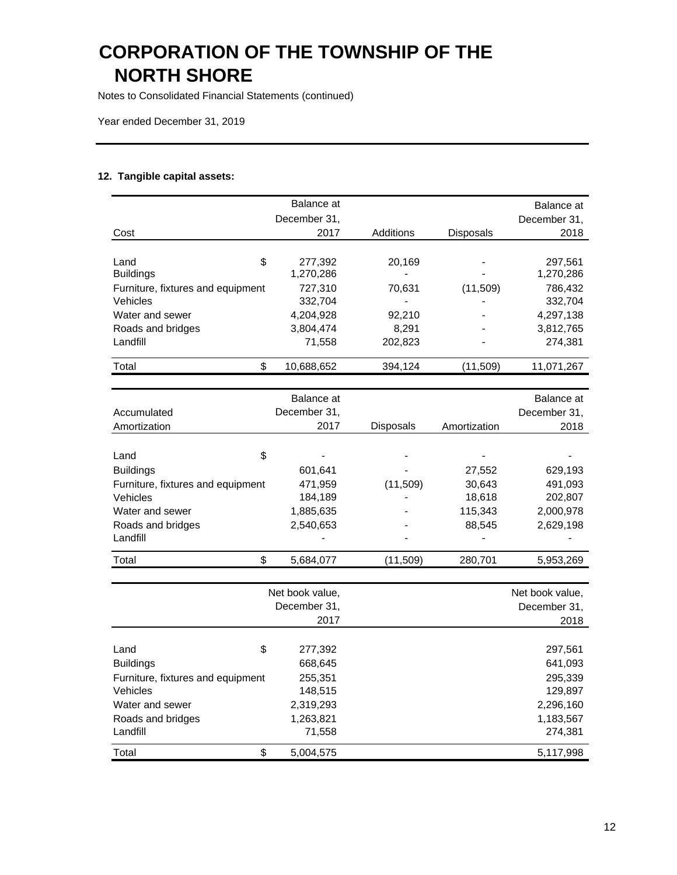Notes to Consolidated Financial Statements (continued)

Year ended December 31, 2019

### **12. Tangible capital assets:**

|                                   | Balance at   |                  |              | Balance at   |
|-----------------------------------|--------------|------------------|--------------|--------------|
|                                   | December 31, |                  |              | December 31, |
| Cost                              | 2017         | Additions        | Disposals    | 2018         |
|                                   |              |                  |              |              |
| \$<br>Land                        | 277,392      | 20,169           |              | 297,561      |
| <b>Buildings</b>                  | 1,270,286    |                  |              | 1,270,286    |
| Furniture, fixtures and equipment | 727,310      | 70,631           | (11,509)     | 786,432      |
| Vehicles                          | 332,704      |                  |              | 332,704      |
| Water and sewer                   | 4,204,928    | 92,210           |              | 4,297,138    |
| Roads and bridges                 | 3,804,474    | 8,291            |              | 3,812,765    |
| Landfill                          | 71,558       | 202,823          |              | 274,381      |
| \$<br>Total                       | 10,688,652   | 394,124          | (11,509)     | 11,071,267   |
|                                   |              |                  |              |              |
|                                   | Balance at   |                  |              | Balance at   |
| Accumulated                       | December 31, |                  |              | December 31, |
| Amortization                      | 2017         | <b>Disposals</b> | Amortization | 2018         |
|                                   |              |                  |              |              |
| \$<br>Land                        |              |                  |              |              |
| <b>Buildings</b>                  | 601,641      |                  | 27,552       | 629,193      |
| Furniture, fixtures and equipment | 471,959      | (11,509)         | 30,643       | 491,093      |
| Vehicles                          | 184,189      |                  | 18,618       | 202,807      |
| Water and sewer                   | 1,885,635    |                  | 115,343      | 2,000,978    |
| Roads and bridges                 | 2,540,653    |                  | 88,545       | 2,629,198    |
| Landfill                          |              |                  |              |              |
| \$<br>Total                       | 5,684,077    | (11,509)         | 280,701      | 5,953,269    |
|                                   |              |                  |              |              |

|                                   | Net book value. |              |              |
|-----------------------------------|-----------------|--------------|--------------|
|                                   |                 | December 31, | December 31, |
|                                   |                 | 2018         |              |
|                                   |                 |              |              |
| Land                              | \$              | 277,392      | 297,561      |
| <b>Buildings</b>                  |                 | 668,645      | 641,093      |
| Furniture, fixtures and equipment |                 | 255,351      | 295,339      |
| Vehicles                          |                 | 148,515      | 129,897      |
| Water and sewer                   |                 | 2,319,293    | 2,296,160    |
| Roads and bridges                 |                 | 1,263,821    | 1,183,567    |
| Landfill                          |                 | 71.558       | 274,381      |
| Total                             | \$              | 5,004,575    | 5,117,998    |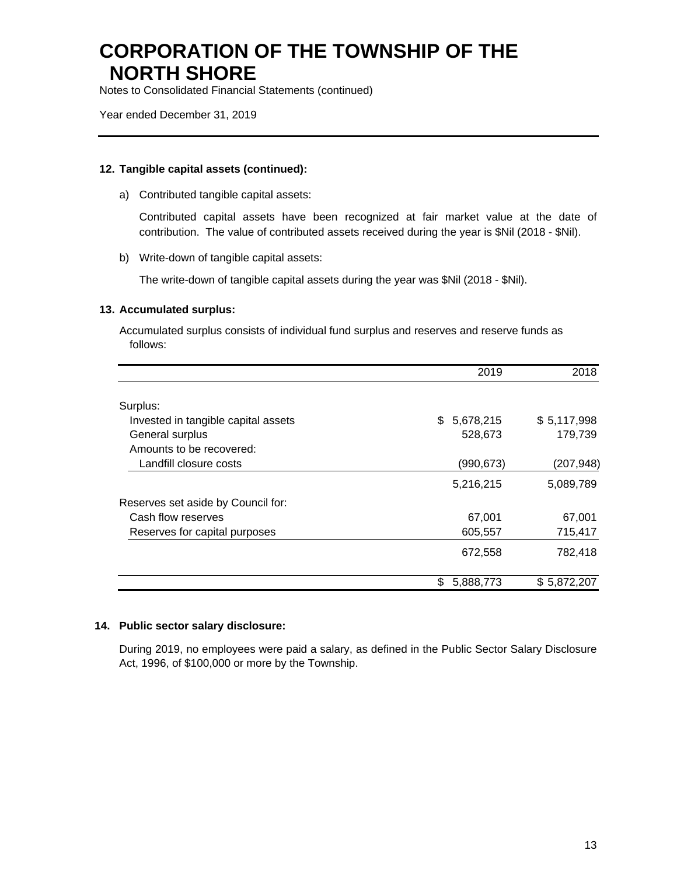Notes to Consolidated Financial Statements (continued)

Year ended December 31, 2019

#### **12. Tangible capital assets (continued):**

a) Contributed tangible capital assets:

Contributed capital assets have been recognized at fair market value at the date of contribution. The value of contributed assets received during the year is \$Nil (2018 - \$Nil).

b) Write-down of tangible capital assets:

The write-down of tangible capital assets during the year was \$Nil (2018 - \$Nil).

#### **13. Accumulated surplus:**

Accumulated surplus consists of individual fund surplus and reserves and reserve funds as follows:

|                                     | 2019           | 2018        |
|-------------------------------------|----------------|-------------|
| Surplus:                            |                |             |
| Invested in tangible capital assets | \$5,678,215    | \$5,117,998 |
| General surplus                     | 528,673        | 179,739     |
| Amounts to be recovered:            |                |             |
| Landfill closure costs              | (990,673)      | (207,948)   |
|                                     | 5,216,215      | 5,089,789   |
| Reserves set aside by Council for:  |                |             |
| Cash flow reserves                  | 67,001         | 67,001      |
| Reserves for capital purposes       | 605,557        | 715,417     |
|                                     | 672,558        | 782,418     |
|                                     | 5,888,773<br>S | \$5,872,207 |

#### **14. Public sector salary disclosure:**

During 2019, no employees were paid a salary, as defined in the Public Sector Salary Disclosure Act, 1996, of \$100,000 or more by the Township.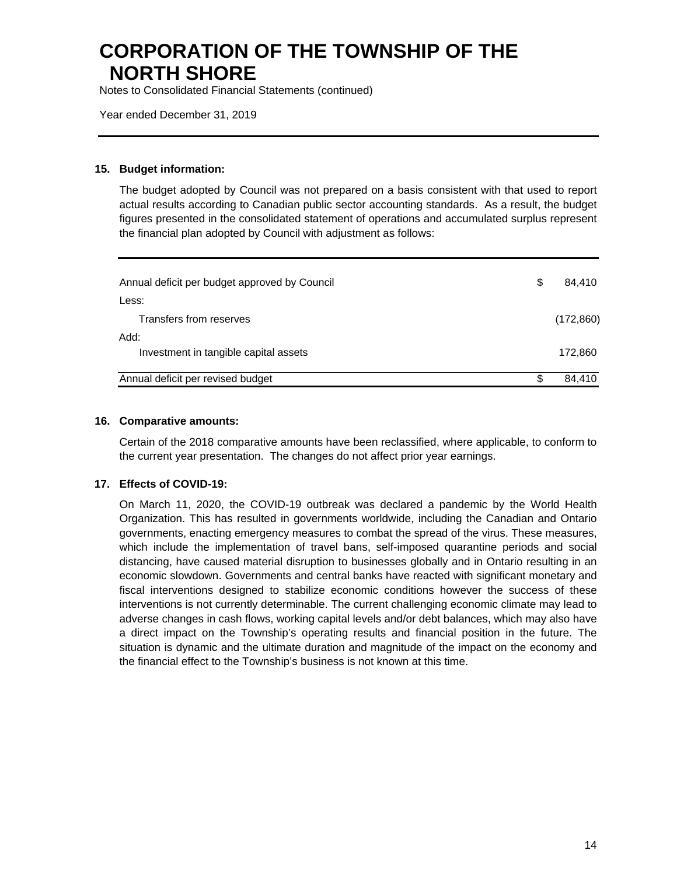Notes to Consolidated Financial Statements (continued)

Year ended December 31, 2019

#### **15. Budget information:**

The budget adopted by Council was not prepared on a basis consistent with that used to report actual results according to Canadian public sector accounting standards. As a result, the budget figures presented in the consolidated statement of operations and accumulated surplus represent the financial plan adopted by Council with adjustment as follows:

| Annual deficit per budget approved by Council | S  | 84.410     |
|-----------------------------------------------|----|------------|
| Less:                                         |    |            |
| Transfers from reserves                       |    | (172, 860) |
| Add:                                          |    |            |
| Investment in tangible capital assets         |    | 172,860    |
| Annual deficit per revised budget             | ß. | 84,410     |
|                                               |    |            |

#### **16. Comparative amounts:**

Certain of the 2018 comparative amounts have been reclassified, where applicable, to conform to the current year presentation. The changes do not affect prior year earnings.

#### **17. Effects of COVID-19:**

On March 11, 2020, the COVID-19 outbreak was declared a pandemic by the World Health Organization. This has resulted in governments worldwide, including the Canadian and Ontario governments, enacting emergency measures to combat the spread of the virus. These measures, which include the implementation of travel bans, self-imposed quarantine periods and social distancing, have caused material disruption to businesses globally and in Ontario resulting in an economic slowdown. Governments and central banks have reacted with significant monetary and fiscal interventions designed to stabilize economic conditions however the success of these interventions is not currently determinable. The current challenging economic climate may lead to adverse changes in cash flows, working capital levels and/or debt balances, which may also have a direct impact on the Township's operating results and financial position in the future. The situation is dynamic and the ultimate duration and magnitude of the impact on the economy and the financial effect to the Township's business is not known at this time.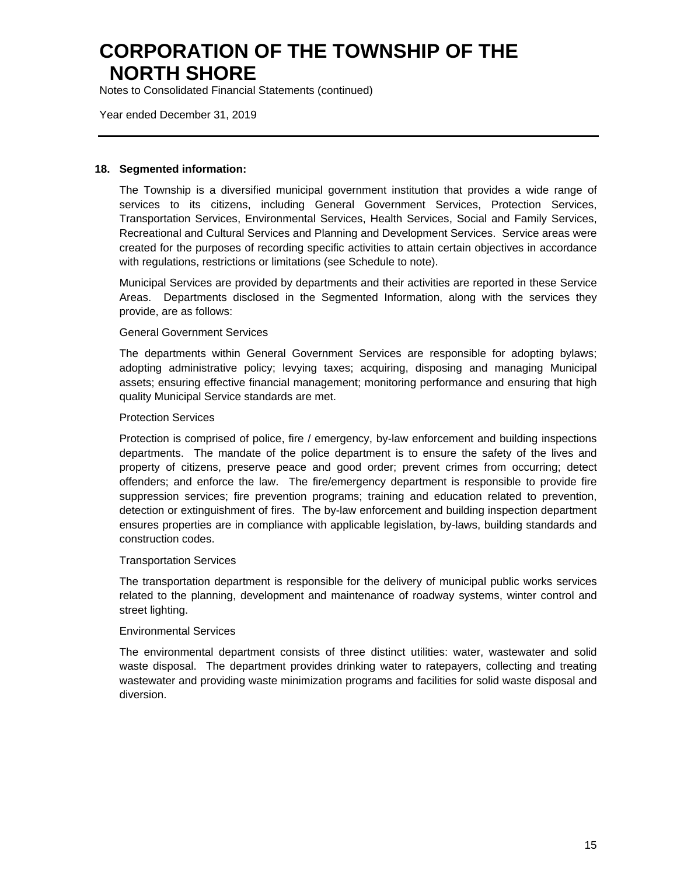Notes to Consolidated Financial Statements (continued)

Year ended December 31, 2019

#### **18. Segmented information:**

The Township is a diversified municipal government institution that provides a wide range of services to its citizens, including General Government Services, Protection Services, Transportation Services, Environmental Services, Health Services, Social and Family Services, Recreational and Cultural Services and Planning and Development Services. Service areas were created for the purposes of recording specific activities to attain certain objectives in accordance with regulations, restrictions or limitations (see Schedule to note).

Municipal Services are provided by departments and their activities are reported in these Service Areas. Departments disclosed in the Segmented Information, along with the services they provide, are as follows:

#### General Government Services

The departments within General Government Services are responsible for adopting bylaws; adopting administrative policy; levying taxes; acquiring, disposing and managing Municipal assets; ensuring effective financial management; monitoring performance and ensuring that high quality Municipal Service standards are met.

#### Protection Services

Protection is comprised of police, fire / emergency, by-law enforcement and building inspections departments. The mandate of the police department is to ensure the safety of the lives and property of citizens, preserve peace and good order; prevent crimes from occurring; detect offenders; and enforce the law. The fire/emergency department is responsible to provide fire suppression services; fire prevention programs; training and education related to prevention, detection or extinguishment of fires. The by-law enforcement and building inspection department ensures properties are in compliance with applicable legislation, by-laws, building standards and construction codes.

#### Transportation Services

The transportation department is responsible for the delivery of municipal public works services related to the planning, development and maintenance of roadway systems, winter control and street lighting.

#### Environmental Services

The environmental department consists of three distinct utilities: water, wastewater and solid waste disposal. The department provides drinking water to ratepayers, collecting and treating wastewater and providing waste minimization programs and facilities for solid waste disposal and diversion.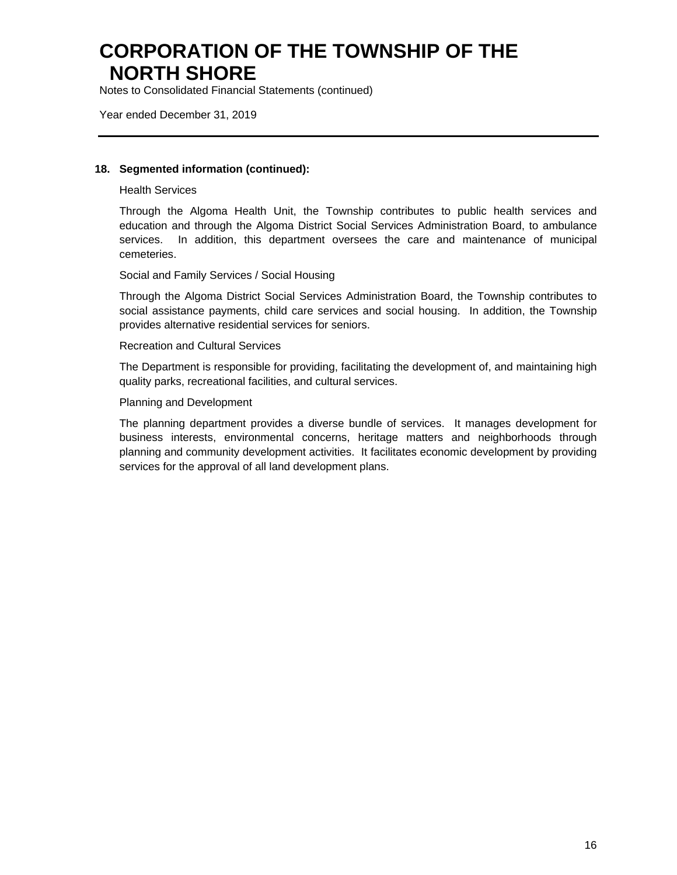Notes to Consolidated Financial Statements (continued)

Year ended December 31, 2019

#### **18. Segmented information (continued):**

Health Services

Through the Algoma Health Unit, the Township contributes to public health services and education and through the Algoma District Social Services Administration Board, to ambulance services. In addition, this department oversees the care and maintenance of municipal cemeteries.

Social and Family Services / Social Housing

Through the Algoma District Social Services Administration Board, the Township contributes to social assistance payments, child care services and social housing. In addition, the Township provides alternative residential services for seniors.

#### Recreation and Cultural Services

The Department is responsible for providing, facilitating the development of, and maintaining high quality parks, recreational facilities, and cultural services.

#### Planning and Development

The planning department provides a diverse bundle of services. It manages development for business interests, environmental concerns, heritage matters and neighborhoods through planning and community development activities. It facilitates economic development by providing services for the approval of all land development plans.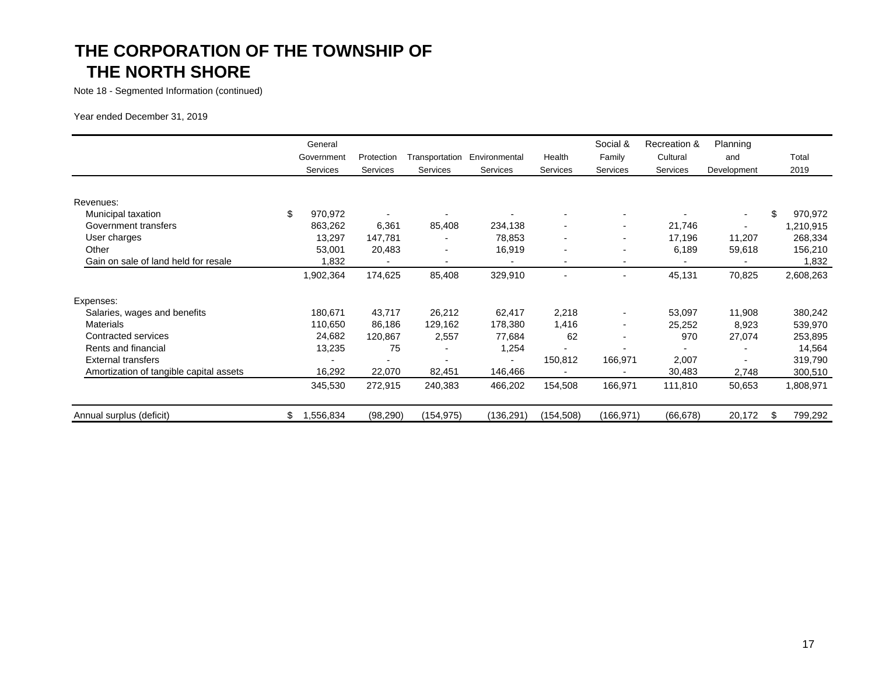Note 18 - Segmented Information (continued)

Year ended December 31, 2019

|                                         | General<br>Government<br>Services | Protection<br>Services | Transportation<br>Services | Environmental<br>Services | Health<br>Services       | Social &<br>Family<br>Services | Recreation &<br>Cultural<br>Services | Planning<br>and<br>Development |     | Total<br>2019 |
|-----------------------------------------|-----------------------------------|------------------------|----------------------------|---------------------------|--------------------------|--------------------------------|--------------------------------------|--------------------------------|-----|---------------|
|                                         |                                   |                        |                            |                           |                          |                                |                                      |                                |     |               |
| Revenues:                               |                                   |                        |                            |                           |                          |                                |                                      |                                |     |               |
| Municipal taxation                      | \$<br>970,972                     |                        |                            |                           |                          | $\blacksquare$                 |                                      | $\sim$                         | \$  | 970,972       |
| Government transfers                    | 863,262                           | 6,361                  | 85,408                     | 234,138                   |                          | ۰                              | 21,746                               |                                |     | ,210,915      |
| User charges                            | 13,297                            | 147,781                |                            | 78,853                    | $\blacksquare$           | ۰                              | 17,196                               | 11,207                         |     | 268,334       |
| Other                                   | 53,001                            | 20,483                 |                            | 16,919                    |                          | $\blacksquare$                 | 6,189                                | 59,618                         |     | 156,210       |
| Gain on sale of land held for resale    | 1,832                             |                        |                            |                           | $\blacksquare$           | ۰                              |                                      |                                |     | 1,832         |
|                                         | 1,902,364                         | 174,625                | 85,408                     | 329,910                   | $\overline{\phantom{a}}$ | $\overline{\phantom{a}}$       | 45,131                               | 70,825                         |     | 2,608,263     |
| Expenses:                               |                                   |                        |                            |                           |                          |                                |                                      |                                |     |               |
| Salaries, wages and benefits            | 180,671                           | 43,717                 | 26,212                     | 62,417                    | 2,218                    | $\overline{\phantom{a}}$       | 53,097                               | 11,908                         |     | 380,242       |
| <b>Materials</b>                        | 110,650                           | 86,186                 | 129,162                    | 178,380                   | 1,416                    | $\overline{\phantom{a}}$       | 25,252                               | 8,923                          |     | 539,970       |
| Contracted services                     | 24,682                            | 120,867                | 2,557                      | 77,684                    | 62                       | ۰                              | 970                                  | 27,074                         |     | 253,895       |
| Rents and financial                     | 13,235                            | 75                     |                            | 1,254                     |                          |                                |                                      |                                |     | 14,564        |
| <b>External transfers</b>               |                                   |                        |                            | $\blacksquare$            | 150,812                  | 166,971                        | 2,007                                | $\overline{\phantom{a}}$       |     | 319,790       |
| Amortization of tangible capital assets | 16,292                            | 22,070                 | 82,451                     | 146,466                   |                          | $\overline{\phantom{a}}$       | 30,483                               | 2,748                          |     | 300,510       |
|                                         | 345,530                           | 272,915                | 240,383                    | 466,202                   | 154,508                  | 166,971                        | 111,810                              | 50,653                         |     | 1,808,971     |
| Annual surplus (deficit)                | \$<br>1,556,834                   | (98, 290)              | (154, 975)                 | (136, 291)                | (154,508)                | (166, 971)                     | (66, 678)                            | 20,172                         | \$. | 799,292       |